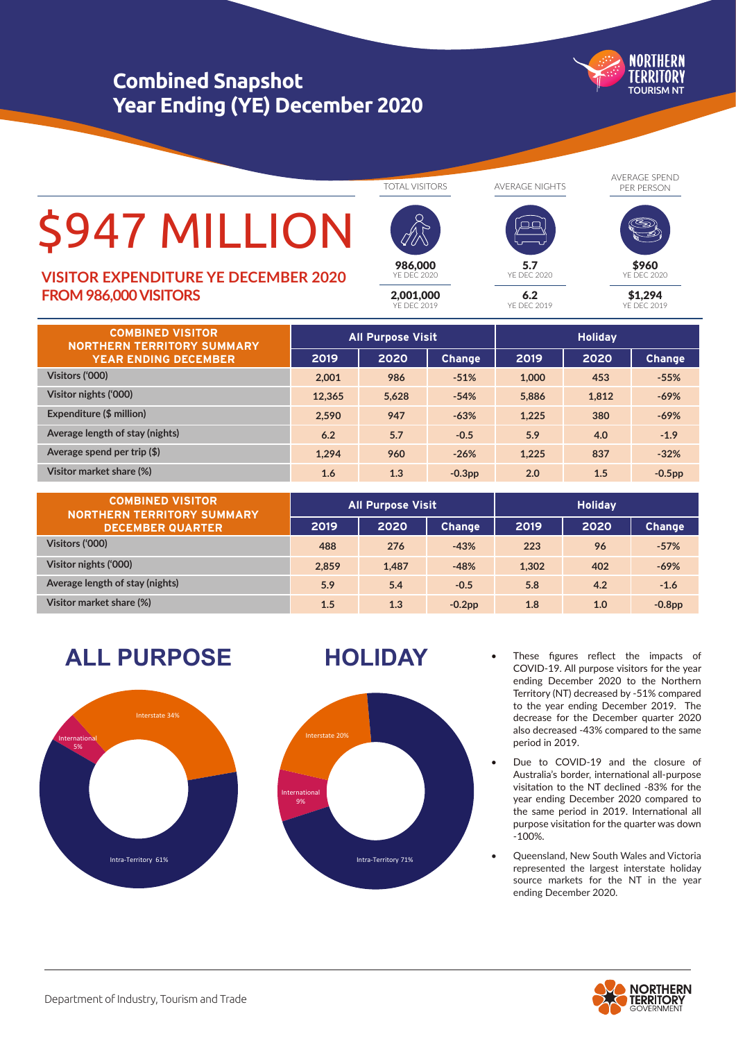# **Combined Snapshot Year Ending (YE) December 2020**

**NORTHERN** TFRRITORY TOURISM NT

# \$947 MILLION

# **FROM 986,000 VISITORS VISITOR EXPENDITURE YE DECEMBER 2020**

TOTAL VISITORS

2,001,000 YE DEC 2019

986,000 YE DEC 2020 AVERAGE NIGHTS

 $6.2$ YE DE

5.7 YE DEC 2020 AVERAGE SPEND PER PERSON



\$1,294 \$960  $DFC 202C$ 

YE DEC 2019

| <b>COMBINED VISITOR</b><br><b>NORTHERN TERRITORY SUMMARY</b><br><b>YEAR ENDING DECEMBER</b> | <b>All Purpose Visit</b> |       |               | <b>Holiday</b> |       |               |
|---------------------------------------------------------------------------------------------|--------------------------|-------|---------------|----------------|-------|---------------|
|                                                                                             | 2019                     | 2020  | <b>Change</b> | 2019           | 2020  | <b>Change</b> |
| Visitors ('000)                                                                             | 2.001                    | 986   | $-51%$        | 1,000          | 453   | $-55%$        |
| Visitor nights ('000)                                                                       | 12.365                   | 5.628 | $-54%$        | 5.886          | 1.812 | $-69%$        |
| Expenditure (\$ million)                                                                    | 2.590                    | 947   | $-63%$        | 1.225          | 380   | $-69%$        |
| Average length of stay (nights)                                                             | 6.2                      | 5.7   | $-0.5$        | 5.9            | 4.0   | $-1.9$        |
| Average spend per trip $(\$)$                                                               | 1.294                    | 960   | $-26%$        | 1.225          | 837   | $-32%$        |
| Visitor market share (%)                                                                    | 1.6                      | 1.3   | $-0.3pp$      | 2.0            | 1.5   | $-0.5pp$      |

| <b>COMBINED VISITOR</b><br><b>NORTHERN TERRITORY SUMMARY</b><br><b>DECEMBER QUARTER</b> | <b>All Purpose Visit</b> |       |               | <b>Holiday</b> |      |               |
|-----------------------------------------------------------------------------------------|--------------------------|-------|---------------|----------------|------|---------------|
|                                                                                         | 2019                     | 2020  | <b>Change</b> | 2019           | 2020 | <b>Change</b> |
| Visitors ('000)                                                                         | 488                      | 276   | $-43%$        | 223            | 96   | $-57%$        |
| Visitor nights ('000)                                                                   | 2.859                    | 1.487 | $-48%$        | 1,302          | 402  | $-69%$        |
| Average length of stay (nights)                                                         | 5.9                      | 5.4   | $-0.5$        | 5.8            | 4.2  | $-1.6$        |
| Visitor market share (%)                                                                | 1.5                      | 1.3   | $-0.2$ pp     | 1.8            | 1.0  | $-0.8pp$      |

**ALL PURPOSE HOLIDAY**





- These figures reflect the impacts of COVID-19. All purpose visitors for the year ending December 2020 to the Northern Territory (NT) decreased by -51% compared to the year ending December 2019. The decrease for the December quarter 2020 also decreased -43% compared to the same period in 2019.
- Due to COVID-19 and the closure of Australia's border, international all-purpose visitation to the NT declined -83% for the year ending December 2020 compared to the same period in 2019. International all purpose visitation for the quarter was down -100%.
- Queensland, New South Wales and Victoria represented the largest interstate holiday source markets for the NT in the year ending December 2020.

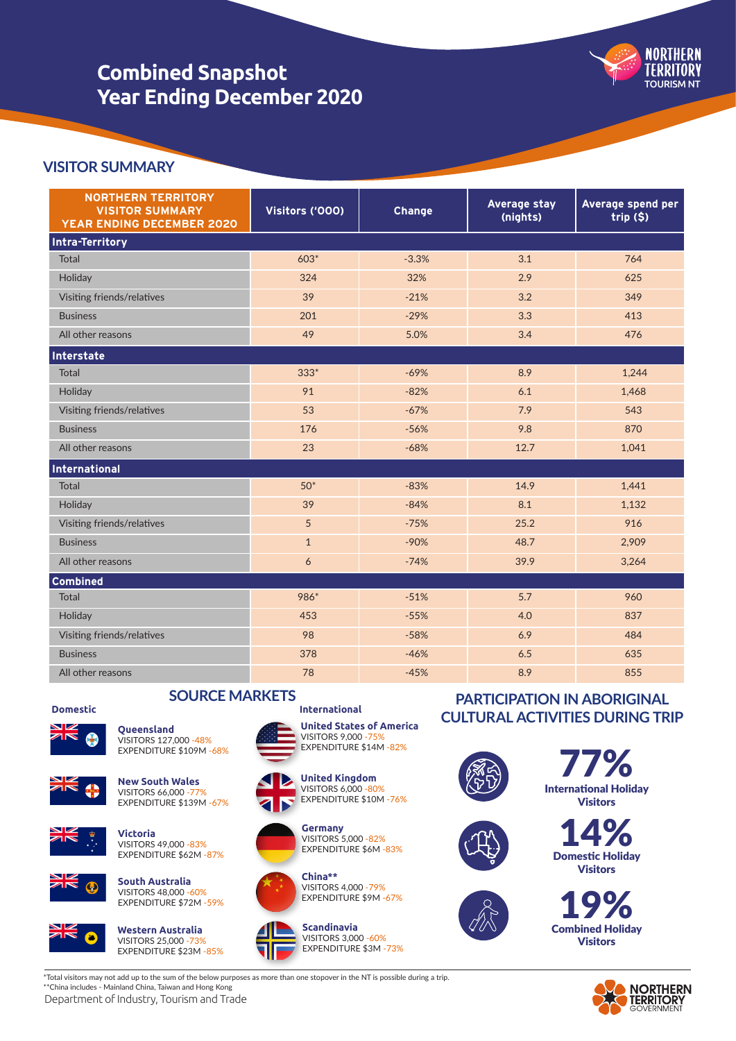# **Combined Snapshot Year Ending December 2020**



## **VISITOR SUMMARY**

| <b>NORTHERN TERRITORY</b><br><b>VISITOR SUMMARY</b><br><b>YEAR ENDING DECEMBER 2020</b> | Visitors ('000) | <b>Change</b> | Average stay<br>(nights) | Average spend per<br>$trip$ $(§)$ |  |
|-----------------------------------------------------------------------------------------|-----------------|---------------|--------------------------|-----------------------------------|--|
| <b>Intra-Territory</b>                                                                  |                 |               |                          |                                   |  |
| Total                                                                                   | $603*$          | $-3.3%$       | 3.1                      | 764                               |  |
| Holiday                                                                                 | 324             | 32%           | 2.9                      | 625                               |  |
| Visiting friends/relatives                                                              | 39              | $-21%$        | 3.2                      | 349                               |  |
| <b>Business</b>                                                                         | 201             | $-29%$        | 3.3                      | 413                               |  |
| All other reasons                                                                       | 49              | 5.0%          | 3.4                      | 476                               |  |
| Interstate                                                                              |                 |               |                          |                                   |  |
| Total                                                                                   | $333*$          | $-69%$        | 8.9                      | 1,244                             |  |
| Holiday                                                                                 | 91              | $-82%$        | 6.1                      | 1,468                             |  |
| Visiting friends/relatives                                                              | 53              | $-67%$        | 7.9                      | 543                               |  |
| <b>Business</b>                                                                         | 176             | $-56%$        | 9.8                      | 870                               |  |
| All other reasons                                                                       | 23              | $-68%$        | 12.7                     | 1,041                             |  |
| International                                                                           |                 |               |                          |                                   |  |
| <b>Total</b>                                                                            | $50*$           | $-83%$        | 14.9                     | 1,441                             |  |
| Holiday                                                                                 | 39              | $-84%$        | 8.1                      | 1,132                             |  |
| Visiting friends/relatives                                                              | 5               | $-75%$        | 25.2                     | 916                               |  |
| <b>Business</b>                                                                         | $\mathbf{1}$    | $-90%$        | 48.7                     | 2,909                             |  |
| All other reasons                                                                       | 6               | $-74%$        | 39.9                     | 3,264                             |  |
| <b>Combined</b>                                                                         |                 |               |                          |                                   |  |
| <b>Total</b>                                                                            | 986*            | $-51%$        | 5.7                      | 960                               |  |
| Holiday                                                                                 | 453             | $-55%$        | 4.0                      | 837                               |  |
| Visiting friends/relatives                                                              | 98              | $-58%$        | 6.9                      | 484                               |  |
| <b>Business</b>                                                                         | 378             | $-46%$        | 6.5                      | 635                               |  |
| All other reasons                                                                       | 78              | $-45%$        | 8.9                      | 855                               |  |

### **SOURCE MARKETS Domestic International**



**Queensland** VISITORS 127,000 -48% EXPENDITURE \$109M -68%



**New South Wales** VISITORS 66,000 -77% EXPENDITURE \$139M -67%



**Victoria** VISITORS 49,000 -83% EXPENDITURE \$62M -87%





**Western Australia** VISITORS 25,000 -73% EXPENDITURE \$23M -85%



**United States of America** VISITORS 9,000 -75% EXPENDITURE \$14M -82%





**Germany** VISITORS 5,000 -82% EXPENDITURE \$6M -83%



**China\*\*** VISITORS 4,000 -79% EXPENDITURE \$9M -67%



**Scandinavia** VISITORS 3,000 -60% EXPENDITURE \$3M -73%

# **PARTICIPATION IN ABORIGINAL CULTURAL ACTIVITIES DURING TRIP**







77% International Holiday Visitors

 $14\%$ Domestic Holiday Visitors





\*Total visitors may not add up to the sum of the below purposes as more than one stopover in the NT is possible during a trip. \*\*China includes - Mainland China, Taiwan and Hong Kong

Department of Industry, Tourism and Trade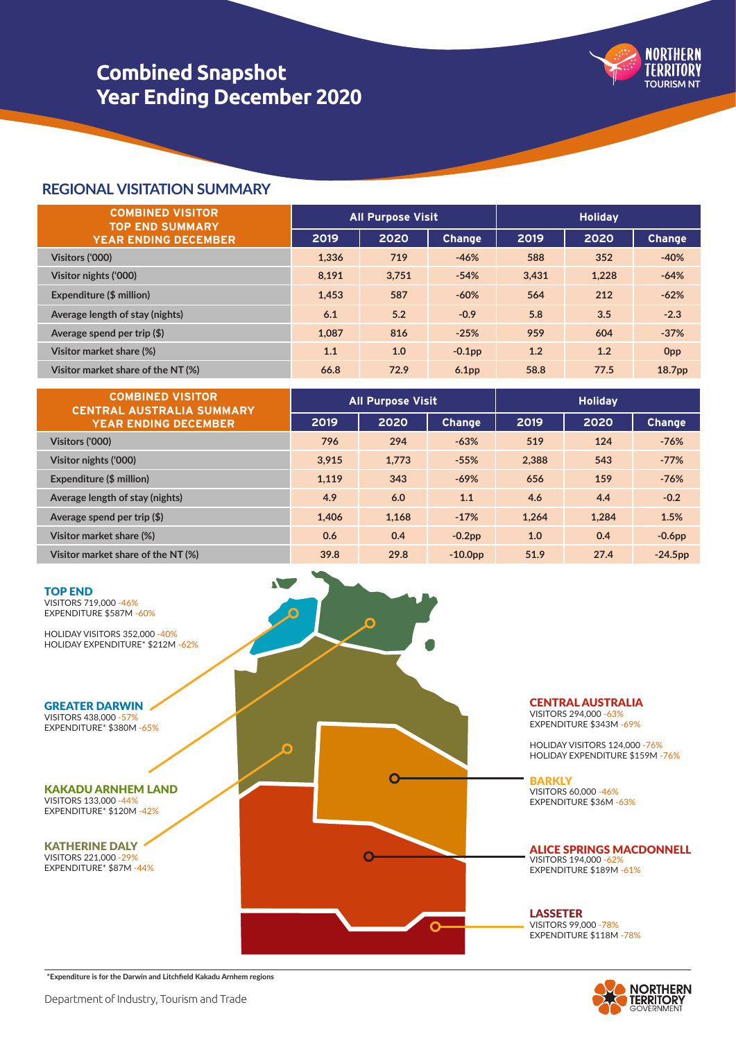

# **Combined Snapshot Year Ending December 2020**

## **REGIONAL VISITATION SUMMARY**

| <b>COMBINED VISITOR</b><br><b>TOP END SUMMARY</b><br><b>YEAR ENDING DECEMBER</b> | <b>All Purpose Visit</b> |       |                   | <b>Holiday</b> |       |                    |
|----------------------------------------------------------------------------------|--------------------------|-------|-------------------|----------------|-------|--------------------|
|                                                                                  | 2019                     | 2020  | <b>Change</b>     | 2019           | 2020  | <b>Change</b>      |
| Visitors ('000)                                                                  | 1.336                    | 719   | $-46%$            | 588            | 352   | $-40%$             |
| Visitor nights ('000)                                                            | 8.191                    | 3.751 | $-54%$            | 3.431          | 1,228 | $-64%$             |
| Expenditure (\$ million)                                                         | 1,453                    | 587   | $-60%$            | 564            | 212   | $-62%$             |
| Average length of stay (nights)                                                  | 6.1                      | 5.2   | $-0.9$            | 5.8            | 3.5   | $-2.3$             |
| Average spend per trip $(\$)$                                                    | 1.087                    | 816   | $-25%$            | 959            | 604   | $-37%$             |
| Visitor market share (%)                                                         | 1.1                      | 1.0   | $-0.1pp$          | 1.2            | 1.2   | <b>Opp</b>         |
| Visitor market share of the NT (%)                                               | 66.8                     | 72.9  | 6.1 <sub>pp</sub> | 58.8           | 77.5  | 18.7 <sub>pp</sub> |

| <b>COMBINED VISITOR</b><br><b>CENTRAL AUSTRALIA SUMMARY</b><br><b>YEAR ENDING DECEMBER</b> | All Purpose Visit |       |               | <b>Holiday</b> |       |           |
|--------------------------------------------------------------------------------------------|-------------------|-------|---------------|----------------|-------|-----------|
|                                                                                            | 2019              | 2020  | <b>Change</b> | 2019           | 2020  | Change    |
| Visitors ('000)                                                                            | 796               | 294   | $-63%$        | 519            | 124   | $-76%$    |
| Visitor nights ('000)                                                                      | 3.915             | 1.773 | $-55%$        | 2.388          | 543   | $-77%$    |
| Expenditure (\$ million)                                                                   | 1.119             | 343   | $-69%$        | 656            | 159   | $-76%$    |
| Average length of stay (nights)                                                            | 4.9               | 6.0   | 1.1           | 4.6            | 4.4   | $-0.2$    |
| Average spend per trip $(\$)$                                                              | 1,406             | 1,168 | $-17%$        | 1,264          | 1.284 | 1.5%      |
| Visitor market share (%)                                                                   | 0.6               | 0.4   | $-0.2$ pp     | 1.0            | 0.4   | $-0.6pp$  |
| Visitor market share of the NT (%)                                                         | 39.8              | 29.8  | $-10.0pp$     | 51.9           | 27.4  | $-24.5pp$ |



CENTRAL AUSTRALIA

VISITORS 294,000 -63% EXPENDITURE \$343M -69%

HOLIDAY VISITORS 124,000 -76% HOLIDAY EXPENDITURE \$159M -76%

**BARKLY** VISITORS 60,000 -46% EXPENDITURE \$36M -63%

#### ALICE SPRINGS MACDONNELL VISITORS 194,000 -62% EXPENDITURE \$189M -61%

LASSETER VISITORS 99,000 -78% EXPENDITURE \$118M -78%



**\*Expenditure is for the Darwin and Litchfield Kakadu Arnhem regions**